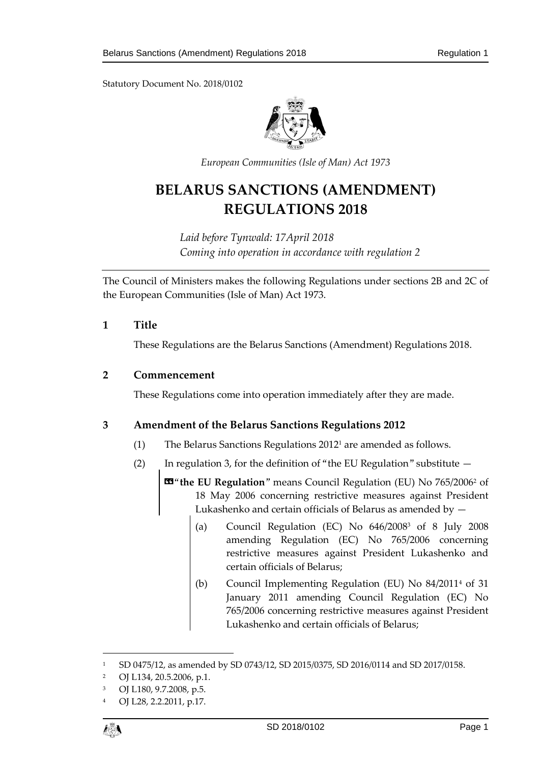

*European Communities (Isle of Man) Act 1973*

## **BELARUS SANCTIONS (AMENDMENT) REGULATIONS 2018**

*Laid before Tynwald: 17April 2018 Coming into operation in accordance with regulation 2*

The Council of Ministers makes the following Regulations under sections 2B and 2C of the European Communities (Isle of Man) Act 1973.

#### **1 Title**

These Regulations are the Belarus Sanctions (Amendment) Regulations 2018.

#### **2 Commencement**

These Regulations come into operation immediately after they are made.

#### **3 Amendment of the Belarus Sanctions Regulations 2012**

- (1) The Belarus Sanctions Regulations 2012<sup>1</sup> are amended as follows.
- (2) In regulation 3, for the definition of "the EU Regulation" substitute  $-$

«"**the EU Regulation**" means Council Regulation (EU) No 765/2006<sup>2</sup> of 18 May 2006 concerning restrictive measures against President Lukashenko and certain officials of Belarus as amended by —

- (a) Council Regulation (EC) No  $646/2008^3$  of 8 July 2008 amending Regulation (EC) No 765/2006 concerning restrictive measures against President Lukashenko and certain officials of Belarus;
- (b) Council Implementing Regulation (EU) No 84/2011<sup>4</sup> of 31 January 2011 amending Council Regulation (EC) No 765/2006 concerning restrictive measures against President Lukashenko and certain officials of Belarus;

OJ L28, 2.2.2011, p.17.



 $\overline{a}$ 

<sup>1</sup> SD 0475/12, as amended by SD 0743/12, SD 2015/0375, SD 2016/0114 and SD 2017/0158.

<sup>2</sup> OJ L134, 20.5.2006, p.1.

<sup>3</sup> OJ L180, 9.7.2008, p.5.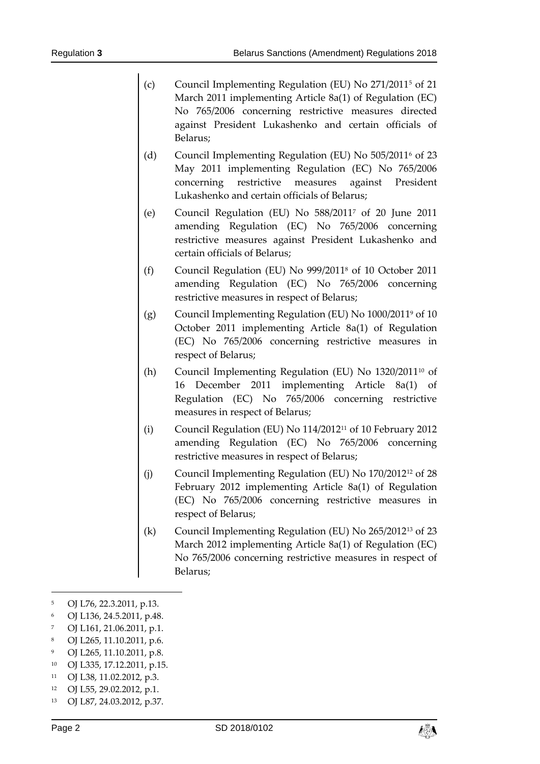- (c) Council Implementing Regulation (EU) No 271/2011<sup>5</sup> of 21 March 2011 implementing Article 8a(1) of Regulation (EC) No 765/2006 concerning restrictive measures directed against President Lukashenko and certain officials of Belarus;
- (d) Council Implementing Regulation (EU) No 505/2011<sup>6</sup> of 23 May 2011 implementing Regulation (EC) No 765/2006 concerning restrictive measures against President Lukashenko and certain officials of Belarus;
- (e) Council Regulation (EU) No 588/2011<sup>7</sup> of 20 June 2011 amending Regulation (EC) No 765/2006 concerning restrictive measures against President Lukashenko and certain officials of Belarus;
- (f) Council Regulation (EU) No 999/2011<sup>8</sup> of 10 October 2011 amending Regulation (EC) No 765/2006 concerning restrictive measures in respect of Belarus;
- (g) Council Implementing Regulation (EU) No 1000/2011<sup>9</sup> of 10 October 2011 implementing Article 8a(1) of Regulation (EC) No 765/2006 concerning restrictive measures in respect of Belarus;
- (h) Council Implementing Regulation (EU) No  $1320/2011^{10}$  of 16 December 2011 implementing Article 8a(1) of Regulation (EC) No 765/2006 concerning restrictive measures in respect of Belarus;
- (i) Council Regulation (EU) No 114/2012<sup>11</sup> of 10 February 2012 amending Regulation (EC) No 765/2006 concerning restrictive measures in respect of Belarus;
- (j) Council Implementing Regulation (EU) No 170/2012<sup>12</sup> of 28 February 2012 implementing Article 8a(1) of Regulation (EC) No 765/2006 concerning restrictive measures in respect of Belarus;
- (k) Council Implementing Regulation (EU) No 265/2012<sup>13</sup> of 23 March 2012 implementing Article 8a(1) of Regulation (EC) No 765/2006 concerning restrictive measures in respect of Belarus;
- <sup>5</sup> OJ L76, 22.3.2011, p.13.
- <sup>6</sup> OJ L136, 24.5.2011, p.48.
- <sup>7</sup> OJ L161, 21.06.2011, p.1.
- <sup>8</sup> OJ L265, 11.10.2011, p.6.
- <sup>9</sup> OJ L265, 11.10.2011, p.8.
- <sup>10</sup> OJ L335, 17.12.2011, p.15.
- <sup>11</sup> OJ L38, 11.02.2012, p.3.
- <sup>12</sup> OJ L55, 29.02.2012, p.1.
- <sup>13</sup> OJ L87, 24.03.2012, p.37.

-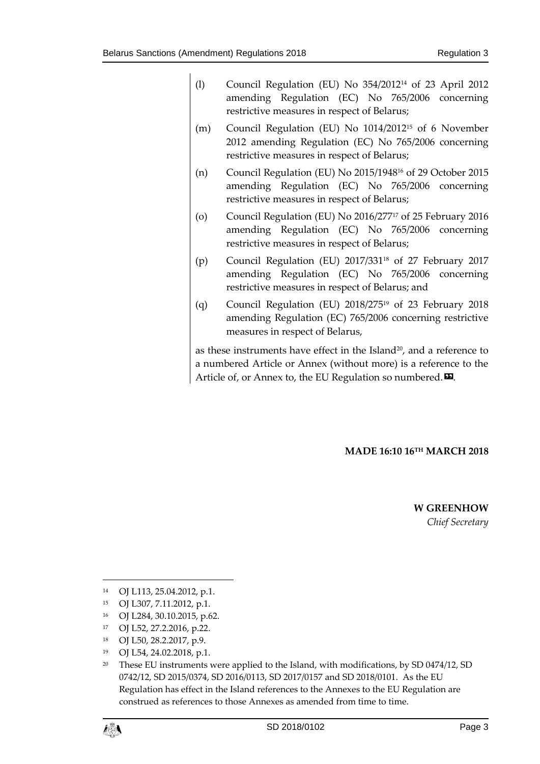- (l) Council Regulation (EU) No 354/2012<sup>14</sup> of 23 April 2012 amending Regulation (EC) No 765/2006 concerning restrictive measures in respect of Belarus;
- (m) Council Regulation (EU) No 1014/2012<sup>15</sup> of 6 November 2012 amending Regulation (EC) No 765/2006 concerning restrictive measures in respect of Belarus;
- (n) Council Regulation (EU) No 2015/1948<sup>16</sup> of 29 October 2015 amending Regulation (EC) No 765/2006 concerning restrictive measures in respect of Belarus;
- (o) Council Regulation (EU) No 2016/277<sup>17</sup> of 25 February 2016 amending Regulation (EC) No 765/2006 concerning restrictive measures in respect of Belarus;
- (p) Council Regulation (EU) 2017/331<sup>18</sup> of 27 February 2017 amending Regulation (EC) No 765/2006 concerning restrictive measures in respect of Belarus; and
- (q) Council Regulation (EU) 2018/275<sup>19</sup> of 23 February 2018 amending Regulation (EC) 765/2006 concerning restrictive measures in respect of Belarus,

as these instruments have effect in the Island $20$ , and a reference to a numbered Article or Annex (without more) is a reference to the Article of, or Annex to, the EU Regulation so numbered. $\boldsymbol{\mathsf{\Xi}}$ .

#### **MADE 16:10 16TH MARCH 2018**

# **W GREENHOW**

*Chief Secretary*

- <sup>14</sup> OJ L113, 25.04.2012, p.1.
- <sup>15</sup> OJ L307, 7.11.2012, p.1.
- <sup>16</sup> OJ L284, 30.10.2015, p.62.
- <sup>17</sup> OJ L52, 27.2.2016, p.22.
- <sup>18</sup> OJ L50, 28.2.2017, p.9.
- <sup>19</sup> OJ L54, 24.02.2018, p.1.

<sup>&</sup>lt;sup>20</sup> These EU instruments were applied to the Island, with modifications, by SD 0474/12, SD 0742/12, SD 2015/0374, SD 2016/0113, SD 2017/0157 and SD 2018/0101. As the EU Regulation has effect in the Island references to the Annexes to the EU Regulation are construed as references to those Annexes as amended from time to time.



1